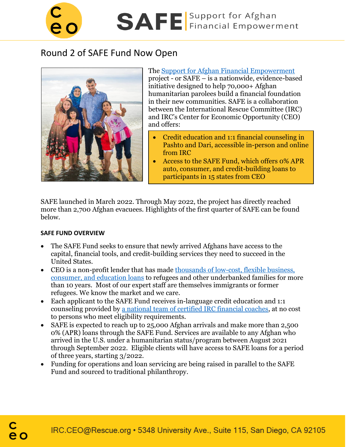

# Round 2 of SAFE Fund Now Open



The [Support for Afghan Financial Empowerment](https://www.safeirc.org/hc/en-us) project - or SAFE – is a nationwide, evidence-based initiative designed to help 70,000+ Afghan humanitarian parolees build a financial foundation in their new communities. SAFE is a collaboration between the International Rescue Committee (IRC) and IRC's Center for Economic Opportunity (CEO) and offers:

- Credit education and 1:1 financial counseling in Pashto and Dari, accessible in-person and online from IRC
- Access to the SAFE Fund, which offers 0% APR auto, consumer, and credit-building loans to participants in 15 states from CEO

SAFE launched in March 2022. Through May 2022, the project has directly reached more than 2,700 Afghan evacuees. Highlights of the first quarter of SAFE can be found below.

## **SAFE FUND OVERVIEW**

- The SAFE Fund seeks to ensure that newly arrived Afghans have access to the capital, financial tools, and credit-building services they need to succeed in the United States.
- CEO is a non-profit lender that has made thousands of low-cost, flexible business, [consumer, and education loans](https://irc-ceo.org/file_download/inline/2f88aa84-828f-4f8e-92b0-3fb92be15b93) to refugees and other underbanked families for more than 10 years. Most of our expert staff are themselves immigrants or former refugees. We know the market and we care.
- Each applicant to the SAFE Fund receives in-language credit education and 1:1 counseling provided by [a national team of certified IRC financial coaches,](https://www.safeirc.org/hc/en-us) at no cost to persons who meet eligibility requirements.
- SAFE is expected to reach up to 25,000 Afghan arrivals and make more than 2,500 0% (APR) loans through the SAFE Fund. Services are available to any Afghan who arrived in the U.S. under a humanitarian status/program between August 2021 through September 2022. Eligible clients will have access to SAFE loans for a period of three years, starting 3/2022.
- Funding for operations and loan servicing are being raised in parallel to the SAFE Fund and sourced to traditional philanthropy.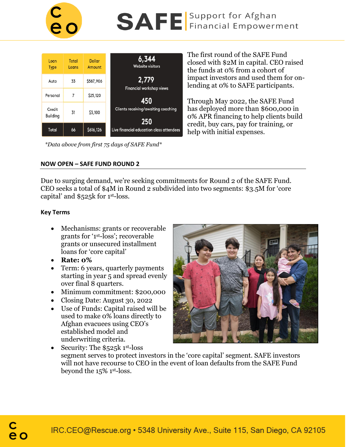

| Loan<br><b>Type</b> | Total<br>Loans | <b>Dollar</b><br>Amount | 6,344<br><b>Website visitors</b>           |
|---------------------|----------------|-------------------------|--------------------------------------------|
| Auto                | 33             | \$587,906               | 2,779<br><b>Financial workshop views</b>   |
| Personal            | 7              | \$25,120                | 450                                        |
| Credit<br>Building  | 31             | \$3,100                 | Clients receiving/awaiting coaching<br>250 |
| Total               | 66             | \$616,126               | Live financial education class attendees   |

*\*Data above from first 75 days of SAFE Fund\**

The first round of the SAFE Fund closed with \$2M in capital. CEO raised the funds at 0% from a cohort of impact investors and used them for onlending at 0% to SAFE participants.

Through May 2022, the SAFE Fund has deployed more than \$600,000 in 0% APR financing to help clients build credit, buy cars, pay for training, or help with initial expenses.

#### **NOW OPEN – SAFE FUND ROUND 2**

Due to surging demand, we're seeking commitments for Round 2 of the SAFE Fund. CEO seeks a total of \$4M in Round 2 subdivided into two segments: \$3.5M for 'core capital' and \$525k for 1 st-loss.

#### **Key Terms**

- Mechanisms: grants or recoverable grants for '1st-loss'; recoverable grants or unsecured installment loans for 'core capital'
- **Rate: 0%**
- Term: 6 years, quarterly payments starting in year 5 and spread evenly over final 8 quarters.
- Minimum commitment: \$200,000
- Closing Date: August 30, 2022
- Use of Funds: Capital raised will be used to make 0% loans directly to Afghan evacuees using CEO's established model and underwriting criteria.



• Security: The  $$525k$  1st-loss segment serves to protect investors in the 'core capital' segment. SAFE investors will not have recourse to CEO in the event of loan defaults from the SAFE Fund beyond the 15% 1st-loss.